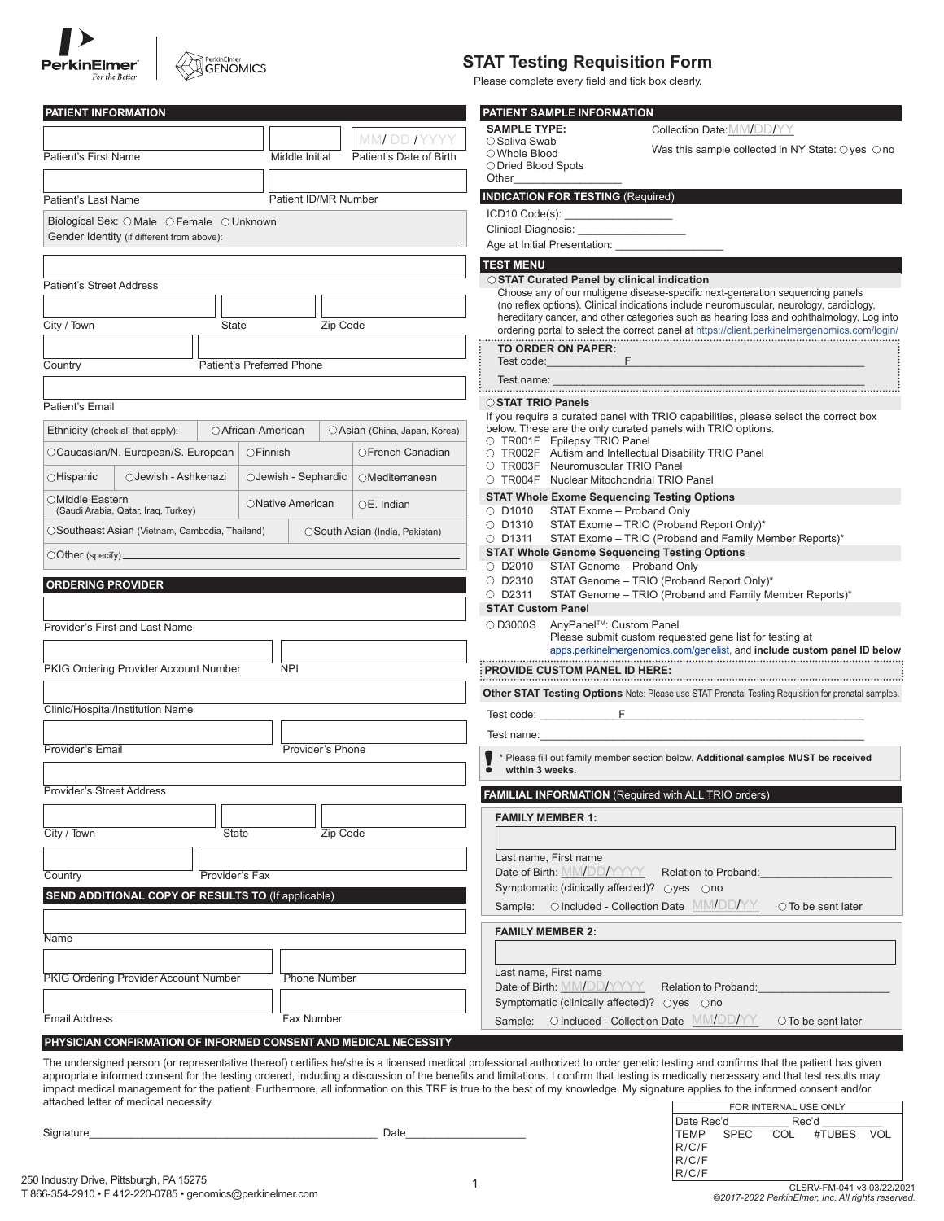| <b>PerkinElmer</b><br>For the Bette. |
|--------------------------------------|

# PerkinElmer<br>GENOMICS

| <b>STAT Testing Requisition Form</b>              |                  |
|---------------------------------------------------|------------------|
| Please complete every field and tick box clearly. |                  |
|                                                   |                  |
| PATIENT SAMPLE INFORMATION                        |                  |
| <b>SAMPLE TYPE:</b>                               | Collection Date: |

| <b>SAMPLE TYPE:</b><br>Collection Date: MM/DD/YY<br>MM DD IYYYY<br>○ Saliva Swab<br>Was this sample collected in NY State: $\bigcirc$ yes $\bigcirc$ no<br>○ Whole Blood<br>Middle Initial<br>Patient's First Name<br>Patient's Date of Birth<br>O Dried Blood Spots<br>Other<br><b>INDICATION FOR TESTING (Required)</b><br>Patient ID/MR Number<br>Biological Sex: O Male O Female O Unknown<br>Clinical Diagnosis: Clinical Diagnosis:<br>Gender Identity (if different from above): _<br><b>TEST MENU</b><br>○ STAT Curated Panel by clinical indication<br><b>Patient's Street Address</b><br>Choose any of our multigene disease-specific next-generation sequencing panels<br>(no reflex options). Clinical indications include neuromuscular, neurology, cardiology,<br>hereditary cancer, and other categories such as hearing loss and ophthalmology. Log into<br>City / Town<br>Zip Code<br>State<br>ordering portal to select the correct panel at https://client.perkinelmergenomics.com/login/<br>TO ORDER ON PAPER:<br>F.<br>Test code:<br>Patient's Preferred Phone<br>Country<br>Test name:<br>○ STAT TRIO Panels<br>If you require a curated panel with TRIO capabilities, please select the correct box<br>below. These are the only curated panels with TRIO options.<br>○ African-American<br>Ethnicity (check all that apply):<br>OAsian (China, Japan, Korea)<br>O TR001F Epilepsy TRIO Panel<br>OCaucasian/N. European/S. European<br>○Finnish<br>OFrench Canadian<br>O TR002F Autism and Intellectual Disability TRIO Panel<br>O TR003F Neuromuscular TRIO Panel<br>○Hispanic<br>OJewish - Ashkenazi<br>OJewish - Sephardic<br>OMediterranean<br>O TR004F Nuclear Mitochondrial TRIO Panel<br><b>STAT Whole Exome Sequencing Testing Options</b><br>○Middle Eastern<br>ONative American<br>$OE.$ Indian<br>O D1010 STAT Exome - Proband Only<br>(Saudi Arabia, Qatar, Iraq, Turkey)<br>O D1310 STAT Exome - TRIO (Proband Report Only)*<br>OSoutheast Asian (Vietnam, Cambodia, Thailand)<br>OSouth Asian (India, Pakistan)<br>STAT Exome - TRIO (Proband and Family Member Reports)*<br>$\circ$ D1311<br><b>STAT Whole Genome Sequencing Testing Options</b><br>$\bigcirc$ Other (specify) $\_$<br>O D2010 STAT Genome - Proband Only<br>○ D2310 STAT Genome - TRIO (Proband Report Only)*<br><b>ORDERING PROVIDER</b><br>$\circ$ D2311<br>STAT Genome - TRIO (Proband and Family Member Reports)*<br><b>STAT Custom Panel</b><br>○ D3000S AnyPanel™: Custom Panel<br>Provider's First and Last Name<br>Please submit custom requested gene list for testing at<br>PKIG Ordering Provider Account Number<br><b>NPI</b><br>PROVIDE CUSTOM PANEL ID HERE:<br>Other STAT Testing Options Note: Please use STAT Prenatal Testing Requisition for prenatal samples.<br>Clinic/Hospital/Institution Name<br>Test name:<br>Provider's Phone<br>* Please fill out family member section below. Additional samples MUST be received<br>within 3 weeks.<br><b>Provider's Street Address</b><br>FAMILIAL INFORMATION (Required with ALL TRIO orders)<br><b>FAMILY MEMBER 1:</b><br>Zip Code<br>State<br>Last name, First name<br>Date of Birth: MM/DD/YYYY Relation to Proband:<br>Provider's Fax<br>Country<br>Symptomatic (clinically affected)? Oyes Ono<br><b>SEND ADDITIONAL COPY OF RESULTS TO (If applicable)</b><br>Sample: O Included - Collection Date MM/DD/YY O To be sent later<br><b>FAMILY MEMBER 2:</b><br>Last name, First name<br><b>Phone Number</b><br>Date of Birth: MM/DD/YYYY Relation to Proband:<br>Symptomatic (clinically affected)? ○yes ○no<br>Fax Number<br>Sample: Olncluded - Collection Date MM/DD/YY<br>○ To be sent later<br>PHYSICIAN CONFIRMATION OF INFORMED CONSENT AND MEDICAL NECESSITY<br>The undersigned person (or representative thereof) certifies he/she is a licensed medical professional authorized to order genetic testing and confirms that the patient has given | PATIENT INFORMATION                   |  |  | PATIENT SAMPLE INFORMATION |
|---------------------------------------------------------------------------------------------------------------------------------------------------------------------------------------------------------------------------------------------------------------------------------------------------------------------------------------------------------------------------------------------------------------------------------------------------------------------------------------------------------------------------------------------------------------------------------------------------------------------------------------------------------------------------------------------------------------------------------------------------------------------------------------------------------------------------------------------------------------------------------------------------------------------------------------------------------------------------------------------------------------------------------------------------------------------------------------------------------------------------------------------------------------------------------------------------------------------------------------------------------------------------------------------------------------------------------------------------------------------------------------------------------------------------------------------------------------------------------------------------------------------------------------------------------------------------------------------------------------------------------------------------------------------------------------------------------------------------------------------------------------------------------------------------------------------------------------------------------------------------------------------------------------------------------------------------------------------------------------------------------------------------------------------------------------------------------------------------------------------------------------------------------------------------------------------------------------------------------------------------------------------------------------------------------------------------------------------------------------------------------------------------------------------------------------------------------------------------------------------------------------------------------------------------------------------------------------------------------------------------------------------------------------------------------------------------------------------------------------------------------------------------------------------------------------------------------------------------------------------------------------------------------------------------------------------------------------------------------------------------------------------------------------------------------------------------------------------------------------------------------------------------------------------------------------------------------------------------------------------------------------------------------------------------------------------------------------------------------------------------------------------------------------------------------------------------------------------------------------------------------------------------------------------------------------------------------------------------------------------------------------------------------------------------------------------------------------------------------------------------------------------------------------------------------------------------------------------------------------------------------------------------------------------------------------|---------------------------------------|--|--|----------------------------|
|                                                                                                                                                                                                                                                                                                                                                                                                                                                                                                                                                                                                                                                                                                                                                                                                                                                                                                                                                                                                                                                                                                                                                                                                                                                                                                                                                                                                                                                                                                                                                                                                                                                                                                                                                                                                                                                                                                                                                                                                                                                                                                                                                                                                                                                                                                                                                                                                                                                                                                                                                                                                                                                                                                                                                                                                                                                                                                                                                                                                                                                                                                                                                                                                                                                                                                                                                                                                                                                                                                                                                                                                                                                                                                                                                                                                                                                                                                                                       |                                       |  |  |                            |
|                                                                                                                                                                                                                                                                                                                                                                                                                                                                                                                                                                                                                                                                                                                                                                                                                                                                                                                                                                                                                                                                                                                                                                                                                                                                                                                                                                                                                                                                                                                                                                                                                                                                                                                                                                                                                                                                                                                                                                                                                                                                                                                                                                                                                                                                                                                                                                                                                                                                                                                                                                                                                                                                                                                                                                                                                                                                                                                                                                                                                                                                                                                                                                                                                                                                                                                                                                                                                                                                                                                                                                                                                                                                                                                                                                                                                                                                                                                                       |                                       |  |  |                            |
|                                                                                                                                                                                                                                                                                                                                                                                                                                                                                                                                                                                                                                                                                                                                                                                                                                                                                                                                                                                                                                                                                                                                                                                                                                                                                                                                                                                                                                                                                                                                                                                                                                                                                                                                                                                                                                                                                                                                                                                                                                                                                                                                                                                                                                                                                                                                                                                                                                                                                                                                                                                                                                                                                                                                                                                                                                                                                                                                                                                                                                                                                                                                                                                                                                                                                                                                                                                                                                                                                                                                                                                                                                                                                                                                                                                                                                                                                                                                       |                                       |  |  |                            |
|                                                                                                                                                                                                                                                                                                                                                                                                                                                                                                                                                                                                                                                                                                                                                                                                                                                                                                                                                                                                                                                                                                                                                                                                                                                                                                                                                                                                                                                                                                                                                                                                                                                                                                                                                                                                                                                                                                                                                                                                                                                                                                                                                                                                                                                                                                                                                                                                                                                                                                                                                                                                                                                                                                                                                                                                                                                                                                                                                                                                                                                                                                                                                                                                                                                                                                                                                                                                                                                                                                                                                                                                                                                                                                                                                                                                                                                                                                                                       |                                       |  |  |                            |
|                                                                                                                                                                                                                                                                                                                                                                                                                                                                                                                                                                                                                                                                                                                                                                                                                                                                                                                                                                                                                                                                                                                                                                                                                                                                                                                                                                                                                                                                                                                                                                                                                                                                                                                                                                                                                                                                                                                                                                                                                                                                                                                                                                                                                                                                                                                                                                                                                                                                                                                                                                                                                                                                                                                                                                                                                                                                                                                                                                                                                                                                                                                                                                                                                                                                                                                                                                                                                                                                                                                                                                                                                                                                                                                                                                                                                                                                                                                                       | Patient's Last Name                   |  |  |                            |
|                                                                                                                                                                                                                                                                                                                                                                                                                                                                                                                                                                                                                                                                                                                                                                                                                                                                                                                                                                                                                                                                                                                                                                                                                                                                                                                                                                                                                                                                                                                                                                                                                                                                                                                                                                                                                                                                                                                                                                                                                                                                                                                                                                                                                                                                                                                                                                                                                                                                                                                                                                                                                                                                                                                                                                                                                                                                                                                                                                                                                                                                                                                                                                                                                                                                                                                                                                                                                                                                                                                                                                                                                                                                                                                                                                                                                                                                                                                                       |                                       |  |  |                            |
|                                                                                                                                                                                                                                                                                                                                                                                                                                                                                                                                                                                                                                                                                                                                                                                                                                                                                                                                                                                                                                                                                                                                                                                                                                                                                                                                                                                                                                                                                                                                                                                                                                                                                                                                                                                                                                                                                                                                                                                                                                                                                                                                                                                                                                                                                                                                                                                                                                                                                                                                                                                                                                                                                                                                                                                                                                                                                                                                                                                                                                                                                                                                                                                                                                                                                                                                                                                                                                                                                                                                                                                                                                                                                                                                                                                                                                                                                                                                       |                                       |  |  |                            |
|                                                                                                                                                                                                                                                                                                                                                                                                                                                                                                                                                                                                                                                                                                                                                                                                                                                                                                                                                                                                                                                                                                                                                                                                                                                                                                                                                                                                                                                                                                                                                                                                                                                                                                                                                                                                                                                                                                                                                                                                                                                                                                                                                                                                                                                                                                                                                                                                                                                                                                                                                                                                                                                                                                                                                                                                                                                                                                                                                                                                                                                                                                                                                                                                                                                                                                                                                                                                                                                                                                                                                                                                                                                                                                                                                                                                                                                                                                                                       |                                       |  |  |                            |
|                                                                                                                                                                                                                                                                                                                                                                                                                                                                                                                                                                                                                                                                                                                                                                                                                                                                                                                                                                                                                                                                                                                                                                                                                                                                                                                                                                                                                                                                                                                                                                                                                                                                                                                                                                                                                                                                                                                                                                                                                                                                                                                                                                                                                                                                                                                                                                                                                                                                                                                                                                                                                                                                                                                                                                                                                                                                                                                                                                                                                                                                                                                                                                                                                                                                                                                                                                                                                                                                                                                                                                                                                                                                                                                                                                                                                                                                                                                                       |                                       |  |  |                            |
|                                                                                                                                                                                                                                                                                                                                                                                                                                                                                                                                                                                                                                                                                                                                                                                                                                                                                                                                                                                                                                                                                                                                                                                                                                                                                                                                                                                                                                                                                                                                                                                                                                                                                                                                                                                                                                                                                                                                                                                                                                                                                                                                                                                                                                                                                                                                                                                                                                                                                                                                                                                                                                                                                                                                                                                                                                                                                                                                                                                                                                                                                                                                                                                                                                                                                                                                                                                                                                                                                                                                                                                                                                                                                                                                                                                                                                                                                                                                       |                                       |  |  |                            |
|                                                                                                                                                                                                                                                                                                                                                                                                                                                                                                                                                                                                                                                                                                                                                                                                                                                                                                                                                                                                                                                                                                                                                                                                                                                                                                                                                                                                                                                                                                                                                                                                                                                                                                                                                                                                                                                                                                                                                                                                                                                                                                                                                                                                                                                                                                                                                                                                                                                                                                                                                                                                                                                                                                                                                                                                                                                                                                                                                                                                                                                                                                                                                                                                                                                                                                                                                                                                                                                                                                                                                                                                                                                                                                                                                                                                                                                                                                                                       |                                       |  |  |                            |
|                                                                                                                                                                                                                                                                                                                                                                                                                                                                                                                                                                                                                                                                                                                                                                                                                                                                                                                                                                                                                                                                                                                                                                                                                                                                                                                                                                                                                                                                                                                                                                                                                                                                                                                                                                                                                                                                                                                                                                                                                                                                                                                                                                                                                                                                                                                                                                                                                                                                                                                                                                                                                                                                                                                                                                                                                                                                                                                                                                                                                                                                                                                                                                                                                                                                                                                                                                                                                                                                                                                                                                                                                                                                                                                                                                                                                                                                                                                                       |                                       |  |  |                            |
|                                                                                                                                                                                                                                                                                                                                                                                                                                                                                                                                                                                                                                                                                                                                                                                                                                                                                                                                                                                                                                                                                                                                                                                                                                                                                                                                                                                                                                                                                                                                                                                                                                                                                                                                                                                                                                                                                                                                                                                                                                                                                                                                                                                                                                                                                                                                                                                                                                                                                                                                                                                                                                                                                                                                                                                                                                                                                                                                                                                                                                                                                                                                                                                                                                                                                                                                                                                                                                                                                                                                                                                                                                                                                                                                                                                                                                                                                                                                       |                                       |  |  |                            |
|                                                                                                                                                                                                                                                                                                                                                                                                                                                                                                                                                                                                                                                                                                                                                                                                                                                                                                                                                                                                                                                                                                                                                                                                                                                                                                                                                                                                                                                                                                                                                                                                                                                                                                                                                                                                                                                                                                                                                                                                                                                                                                                                                                                                                                                                                                                                                                                                                                                                                                                                                                                                                                                                                                                                                                                                                                                                                                                                                                                                                                                                                                                                                                                                                                                                                                                                                                                                                                                                                                                                                                                                                                                                                                                                                                                                                                                                                                                                       |                                       |  |  |                            |
|                                                                                                                                                                                                                                                                                                                                                                                                                                                                                                                                                                                                                                                                                                                                                                                                                                                                                                                                                                                                                                                                                                                                                                                                                                                                                                                                                                                                                                                                                                                                                                                                                                                                                                                                                                                                                                                                                                                                                                                                                                                                                                                                                                                                                                                                                                                                                                                                                                                                                                                                                                                                                                                                                                                                                                                                                                                                                                                                                                                                                                                                                                                                                                                                                                                                                                                                                                                                                                                                                                                                                                                                                                                                                                                                                                                                                                                                                                                                       |                                       |  |  |                            |
|                                                                                                                                                                                                                                                                                                                                                                                                                                                                                                                                                                                                                                                                                                                                                                                                                                                                                                                                                                                                                                                                                                                                                                                                                                                                                                                                                                                                                                                                                                                                                                                                                                                                                                                                                                                                                                                                                                                                                                                                                                                                                                                                                                                                                                                                                                                                                                                                                                                                                                                                                                                                                                                                                                                                                                                                                                                                                                                                                                                                                                                                                                                                                                                                                                                                                                                                                                                                                                                                                                                                                                                                                                                                                                                                                                                                                                                                                                                                       | Patient's Email                       |  |  |                            |
|                                                                                                                                                                                                                                                                                                                                                                                                                                                                                                                                                                                                                                                                                                                                                                                                                                                                                                                                                                                                                                                                                                                                                                                                                                                                                                                                                                                                                                                                                                                                                                                                                                                                                                                                                                                                                                                                                                                                                                                                                                                                                                                                                                                                                                                                                                                                                                                                                                                                                                                                                                                                                                                                                                                                                                                                                                                                                                                                                                                                                                                                                                                                                                                                                                                                                                                                                                                                                                                                                                                                                                                                                                                                                                                                                                                                                                                                                                                                       |                                       |  |  |                            |
|                                                                                                                                                                                                                                                                                                                                                                                                                                                                                                                                                                                                                                                                                                                                                                                                                                                                                                                                                                                                                                                                                                                                                                                                                                                                                                                                                                                                                                                                                                                                                                                                                                                                                                                                                                                                                                                                                                                                                                                                                                                                                                                                                                                                                                                                                                                                                                                                                                                                                                                                                                                                                                                                                                                                                                                                                                                                                                                                                                                                                                                                                                                                                                                                                                                                                                                                                                                                                                                                                                                                                                                                                                                                                                                                                                                                                                                                                                                                       |                                       |  |  |                            |
|                                                                                                                                                                                                                                                                                                                                                                                                                                                                                                                                                                                                                                                                                                                                                                                                                                                                                                                                                                                                                                                                                                                                                                                                                                                                                                                                                                                                                                                                                                                                                                                                                                                                                                                                                                                                                                                                                                                                                                                                                                                                                                                                                                                                                                                                                                                                                                                                                                                                                                                                                                                                                                                                                                                                                                                                                                                                                                                                                                                                                                                                                                                                                                                                                                                                                                                                                                                                                                                                                                                                                                                                                                                                                                                                                                                                                                                                                                                                       |                                       |  |  |                            |
|                                                                                                                                                                                                                                                                                                                                                                                                                                                                                                                                                                                                                                                                                                                                                                                                                                                                                                                                                                                                                                                                                                                                                                                                                                                                                                                                                                                                                                                                                                                                                                                                                                                                                                                                                                                                                                                                                                                                                                                                                                                                                                                                                                                                                                                                                                                                                                                                                                                                                                                                                                                                                                                                                                                                                                                                                                                                                                                                                                                                                                                                                                                                                                                                                                                                                                                                                                                                                                                                                                                                                                                                                                                                                                                                                                                                                                                                                                                                       |                                       |  |  |                            |
|                                                                                                                                                                                                                                                                                                                                                                                                                                                                                                                                                                                                                                                                                                                                                                                                                                                                                                                                                                                                                                                                                                                                                                                                                                                                                                                                                                                                                                                                                                                                                                                                                                                                                                                                                                                                                                                                                                                                                                                                                                                                                                                                                                                                                                                                                                                                                                                                                                                                                                                                                                                                                                                                                                                                                                                                                                                                                                                                                                                                                                                                                                                                                                                                                                                                                                                                                                                                                                                                                                                                                                                                                                                                                                                                                                                                                                                                                                                                       |                                       |  |  |                            |
|                                                                                                                                                                                                                                                                                                                                                                                                                                                                                                                                                                                                                                                                                                                                                                                                                                                                                                                                                                                                                                                                                                                                                                                                                                                                                                                                                                                                                                                                                                                                                                                                                                                                                                                                                                                                                                                                                                                                                                                                                                                                                                                                                                                                                                                                                                                                                                                                                                                                                                                                                                                                                                                                                                                                                                                                                                                                                                                                                                                                                                                                                                                                                                                                                                                                                                                                                                                                                                                                                                                                                                                                                                                                                                                                                                                                                                                                                                                                       |                                       |  |  |                            |
|                                                                                                                                                                                                                                                                                                                                                                                                                                                                                                                                                                                                                                                                                                                                                                                                                                                                                                                                                                                                                                                                                                                                                                                                                                                                                                                                                                                                                                                                                                                                                                                                                                                                                                                                                                                                                                                                                                                                                                                                                                                                                                                                                                                                                                                                                                                                                                                                                                                                                                                                                                                                                                                                                                                                                                                                                                                                                                                                                                                                                                                                                                                                                                                                                                                                                                                                                                                                                                                                                                                                                                                                                                                                                                                                                                                                                                                                                                                                       |                                       |  |  |                            |
|                                                                                                                                                                                                                                                                                                                                                                                                                                                                                                                                                                                                                                                                                                                                                                                                                                                                                                                                                                                                                                                                                                                                                                                                                                                                                                                                                                                                                                                                                                                                                                                                                                                                                                                                                                                                                                                                                                                                                                                                                                                                                                                                                                                                                                                                                                                                                                                                                                                                                                                                                                                                                                                                                                                                                                                                                                                                                                                                                                                                                                                                                                                                                                                                                                                                                                                                                                                                                                                                                                                                                                                                                                                                                                                                                                                                                                                                                                                                       |                                       |  |  |                            |
|                                                                                                                                                                                                                                                                                                                                                                                                                                                                                                                                                                                                                                                                                                                                                                                                                                                                                                                                                                                                                                                                                                                                                                                                                                                                                                                                                                                                                                                                                                                                                                                                                                                                                                                                                                                                                                                                                                                                                                                                                                                                                                                                                                                                                                                                                                                                                                                                                                                                                                                                                                                                                                                                                                                                                                                                                                                                                                                                                                                                                                                                                                                                                                                                                                                                                                                                                                                                                                                                                                                                                                                                                                                                                                                                                                                                                                                                                                                                       |                                       |  |  |                            |
|                                                                                                                                                                                                                                                                                                                                                                                                                                                                                                                                                                                                                                                                                                                                                                                                                                                                                                                                                                                                                                                                                                                                                                                                                                                                                                                                                                                                                                                                                                                                                                                                                                                                                                                                                                                                                                                                                                                                                                                                                                                                                                                                                                                                                                                                                                                                                                                                                                                                                                                                                                                                                                                                                                                                                                                                                                                                                                                                                                                                                                                                                                                                                                                                                                                                                                                                                                                                                                                                                                                                                                                                                                                                                                                                                                                                                                                                                                                                       |                                       |  |  |                            |
|                                                                                                                                                                                                                                                                                                                                                                                                                                                                                                                                                                                                                                                                                                                                                                                                                                                                                                                                                                                                                                                                                                                                                                                                                                                                                                                                                                                                                                                                                                                                                                                                                                                                                                                                                                                                                                                                                                                                                                                                                                                                                                                                                                                                                                                                                                                                                                                                                                                                                                                                                                                                                                                                                                                                                                                                                                                                                                                                                                                                                                                                                                                                                                                                                                                                                                                                                                                                                                                                                                                                                                                                                                                                                                                                                                                                                                                                                                                                       |                                       |  |  |                            |
|                                                                                                                                                                                                                                                                                                                                                                                                                                                                                                                                                                                                                                                                                                                                                                                                                                                                                                                                                                                                                                                                                                                                                                                                                                                                                                                                                                                                                                                                                                                                                                                                                                                                                                                                                                                                                                                                                                                                                                                                                                                                                                                                                                                                                                                                                                                                                                                                                                                                                                                                                                                                                                                                                                                                                                                                                                                                                                                                                                                                                                                                                                                                                                                                                                                                                                                                                                                                                                                                                                                                                                                                                                                                                                                                                                                                                                                                                                                                       |                                       |  |  |                            |
|                                                                                                                                                                                                                                                                                                                                                                                                                                                                                                                                                                                                                                                                                                                                                                                                                                                                                                                                                                                                                                                                                                                                                                                                                                                                                                                                                                                                                                                                                                                                                                                                                                                                                                                                                                                                                                                                                                                                                                                                                                                                                                                                                                                                                                                                                                                                                                                                                                                                                                                                                                                                                                                                                                                                                                                                                                                                                                                                                                                                                                                                                                                                                                                                                                                                                                                                                                                                                                                                                                                                                                                                                                                                                                                                                                                                                                                                                                                                       |                                       |  |  |                            |
|                                                                                                                                                                                                                                                                                                                                                                                                                                                                                                                                                                                                                                                                                                                                                                                                                                                                                                                                                                                                                                                                                                                                                                                                                                                                                                                                                                                                                                                                                                                                                                                                                                                                                                                                                                                                                                                                                                                                                                                                                                                                                                                                                                                                                                                                                                                                                                                                                                                                                                                                                                                                                                                                                                                                                                                                                                                                                                                                                                                                                                                                                                                                                                                                                                                                                                                                                                                                                                                                                                                                                                                                                                                                                                                                                                                                                                                                                                                                       |                                       |  |  |                            |
|                                                                                                                                                                                                                                                                                                                                                                                                                                                                                                                                                                                                                                                                                                                                                                                                                                                                                                                                                                                                                                                                                                                                                                                                                                                                                                                                                                                                                                                                                                                                                                                                                                                                                                                                                                                                                                                                                                                                                                                                                                                                                                                                                                                                                                                                                                                                                                                                                                                                                                                                                                                                                                                                                                                                                                                                                                                                                                                                                                                                                                                                                                                                                                                                                                                                                                                                                                                                                                                                                                                                                                                                                                                                                                                                                                                                                                                                                                                                       |                                       |  |  |                            |
|                                                                                                                                                                                                                                                                                                                                                                                                                                                                                                                                                                                                                                                                                                                                                                                                                                                                                                                                                                                                                                                                                                                                                                                                                                                                                                                                                                                                                                                                                                                                                                                                                                                                                                                                                                                                                                                                                                                                                                                                                                                                                                                                                                                                                                                                                                                                                                                                                                                                                                                                                                                                                                                                                                                                                                                                                                                                                                                                                                                                                                                                                                                                                                                                                                                                                                                                                                                                                                                                                                                                                                                                                                                                                                                                                                                                                                                                                                                                       |                                       |  |  |                            |
|                                                                                                                                                                                                                                                                                                                                                                                                                                                                                                                                                                                                                                                                                                                                                                                                                                                                                                                                                                                                                                                                                                                                                                                                                                                                                                                                                                                                                                                                                                                                                                                                                                                                                                                                                                                                                                                                                                                                                                                                                                                                                                                                                                                                                                                                                                                                                                                                                                                                                                                                                                                                                                                                                                                                                                                                                                                                                                                                                                                                                                                                                                                                                                                                                                                                                                                                                                                                                                                                                                                                                                                                                                                                                                                                                                                                                                                                                                                                       |                                       |  |  |                            |
|                                                                                                                                                                                                                                                                                                                                                                                                                                                                                                                                                                                                                                                                                                                                                                                                                                                                                                                                                                                                                                                                                                                                                                                                                                                                                                                                                                                                                                                                                                                                                                                                                                                                                                                                                                                                                                                                                                                                                                                                                                                                                                                                                                                                                                                                                                                                                                                                                                                                                                                                                                                                                                                                                                                                                                                                                                                                                                                                                                                                                                                                                                                                                                                                                                                                                                                                                                                                                                                                                                                                                                                                                                                                                                                                                                                                                                                                                                                                       | Provider's Email                      |  |  |                            |
|                                                                                                                                                                                                                                                                                                                                                                                                                                                                                                                                                                                                                                                                                                                                                                                                                                                                                                                                                                                                                                                                                                                                                                                                                                                                                                                                                                                                                                                                                                                                                                                                                                                                                                                                                                                                                                                                                                                                                                                                                                                                                                                                                                                                                                                                                                                                                                                                                                                                                                                                                                                                                                                                                                                                                                                                                                                                                                                                                                                                                                                                                                                                                                                                                                                                                                                                                                                                                                                                                                                                                                                                                                                                                                                                                                                                                                                                                                                                       |                                       |  |  |                            |
|                                                                                                                                                                                                                                                                                                                                                                                                                                                                                                                                                                                                                                                                                                                                                                                                                                                                                                                                                                                                                                                                                                                                                                                                                                                                                                                                                                                                                                                                                                                                                                                                                                                                                                                                                                                                                                                                                                                                                                                                                                                                                                                                                                                                                                                                                                                                                                                                                                                                                                                                                                                                                                                                                                                                                                                                                                                                                                                                                                                                                                                                                                                                                                                                                                                                                                                                                                                                                                                                                                                                                                                                                                                                                                                                                                                                                                                                                                                                       |                                       |  |  |                            |
|                                                                                                                                                                                                                                                                                                                                                                                                                                                                                                                                                                                                                                                                                                                                                                                                                                                                                                                                                                                                                                                                                                                                                                                                                                                                                                                                                                                                                                                                                                                                                                                                                                                                                                                                                                                                                                                                                                                                                                                                                                                                                                                                                                                                                                                                                                                                                                                                                                                                                                                                                                                                                                                                                                                                                                                                                                                                                                                                                                                                                                                                                                                                                                                                                                                                                                                                                                                                                                                                                                                                                                                                                                                                                                                                                                                                                                                                                                                                       |                                       |  |  |                            |
|                                                                                                                                                                                                                                                                                                                                                                                                                                                                                                                                                                                                                                                                                                                                                                                                                                                                                                                                                                                                                                                                                                                                                                                                                                                                                                                                                                                                                                                                                                                                                                                                                                                                                                                                                                                                                                                                                                                                                                                                                                                                                                                                                                                                                                                                                                                                                                                                                                                                                                                                                                                                                                                                                                                                                                                                                                                                                                                                                                                                                                                                                                                                                                                                                                                                                                                                                                                                                                                                                                                                                                                                                                                                                                                                                                                                                                                                                                                                       | City / Town                           |  |  |                            |
|                                                                                                                                                                                                                                                                                                                                                                                                                                                                                                                                                                                                                                                                                                                                                                                                                                                                                                                                                                                                                                                                                                                                                                                                                                                                                                                                                                                                                                                                                                                                                                                                                                                                                                                                                                                                                                                                                                                                                                                                                                                                                                                                                                                                                                                                                                                                                                                                                                                                                                                                                                                                                                                                                                                                                                                                                                                                                                                                                                                                                                                                                                                                                                                                                                                                                                                                                                                                                                                                                                                                                                                                                                                                                                                                                                                                                                                                                                                                       |                                       |  |  |                            |
|                                                                                                                                                                                                                                                                                                                                                                                                                                                                                                                                                                                                                                                                                                                                                                                                                                                                                                                                                                                                                                                                                                                                                                                                                                                                                                                                                                                                                                                                                                                                                                                                                                                                                                                                                                                                                                                                                                                                                                                                                                                                                                                                                                                                                                                                                                                                                                                                                                                                                                                                                                                                                                                                                                                                                                                                                                                                                                                                                                                                                                                                                                                                                                                                                                                                                                                                                                                                                                                                                                                                                                                                                                                                                                                                                                                                                                                                                                                                       |                                       |  |  |                            |
|                                                                                                                                                                                                                                                                                                                                                                                                                                                                                                                                                                                                                                                                                                                                                                                                                                                                                                                                                                                                                                                                                                                                                                                                                                                                                                                                                                                                                                                                                                                                                                                                                                                                                                                                                                                                                                                                                                                                                                                                                                                                                                                                                                                                                                                                                                                                                                                                                                                                                                                                                                                                                                                                                                                                                                                                                                                                                                                                                                                                                                                                                                                                                                                                                                                                                                                                                                                                                                                                                                                                                                                                                                                                                                                                                                                                                                                                                                                                       |                                       |  |  |                            |
|                                                                                                                                                                                                                                                                                                                                                                                                                                                                                                                                                                                                                                                                                                                                                                                                                                                                                                                                                                                                                                                                                                                                                                                                                                                                                                                                                                                                                                                                                                                                                                                                                                                                                                                                                                                                                                                                                                                                                                                                                                                                                                                                                                                                                                                                                                                                                                                                                                                                                                                                                                                                                                                                                                                                                                                                                                                                                                                                                                                                                                                                                                                                                                                                                                                                                                                                                                                                                                                                                                                                                                                                                                                                                                                                                                                                                                                                                                                                       |                                       |  |  |                            |
|                                                                                                                                                                                                                                                                                                                                                                                                                                                                                                                                                                                                                                                                                                                                                                                                                                                                                                                                                                                                                                                                                                                                                                                                                                                                                                                                                                                                                                                                                                                                                                                                                                                                                                                                                                                                                                                                                                                                                                                                                                                                                                                                                                                                                                                                                                                                                                                                                                                                                                                                                                                                                                                                                                                                                                                                                                                                                                                                                                                                                                                                                                                                                                                                                                                                                                                                                                                                                                                                                                                                                                                                                                                                                                                                                                                                                                                                                                                                       |                                       |  |  |                            |
|                                                                                                                                                                                                                                                                                                                                                                                                                                                                                                                                                                                                                                                                                                                                                                                                                                                                                                                                                                                                                                                                                                                                                                                                                                                                                                                                                                                                                                                                                                                                                                                                                                                                                                                                                                                                                                                                                                                                                                                                                                                                                                                                                                                                                                                                                                                                                                                                                                                                                                                                                                                                                                                                                                                                                                                                                                                                                                                                                                                                                                                                                                                                                                                                                                                                                                                                                                                                                                                                                                                                                                                                                                                                                                                                                                                                                                                                                                                                       | Name                                  |  |  |                            |
|                                                                                                                                                                                                                                                                                                                                                                                                                                                                                                                                                                                                                                                                                                                                                                                                                                                                                                                                                                                                                                                                                                                                                                                                                                                                                                                                                                                                                                                                                                                                                                                                                                                                                                                                                                                                                                                                                                                                                                                                                                                                                                                                                                                                                                                                                                                                                                                                                                                                                                                                                                                                                                                                                                                                                                                                                                                                                                                                                                                                                                                                                                                                                                                                                                                                                                                                                                                                                                                                                                                                                                                                                                                                                                                                                                                                                                                                                                                                       |                                       |  |  |                            |
|                                                                                                                                                                                                                                                                                                                                                                                                                                                                                                                                                                                                                                                                                                                                                                                                                                                                                                                                                                                                                                                                                                                                                                                                                                                                                                                                                                                                                                                                                                                                                                                                                                                                                                                                                                                                                                                                                                                                                                                                                                                                                                                                                                                                                                                                                                                                                                                                                                                                                                                                                                                                                                                                                                                                                                                                                                                                                                                                                                                                                                                                                                                                                                                                                                                                                                                                                                                                                                                                                                                                                                                                                                                                                                                                                                                                                                                                                                                                       | PKIG Ordering Provider Account Number |  |  |                            |
|                                                                                                                                                                                                                                                                                                                                                                                                                                                                                                                                                                                                                                                                                                                                                                                                                                                                                                                                                                                                                                                                                                                                                                                                                                                                                                                                                                                                                                                                                                                                                                                                                                                                                                                                                                                                                                                                                                                                                                                                                                                                                                                                                                                                                                                                                                                                                                                                                                                                                                                                                                                                                                                                                                                                                                                                                                                                                                                                                                                                                                                                                                                                                                                                                                                                                                                                                                                                                                                                                                                                                                                                                                                                                                                                                                                                                                                                                                                                       |                                       |  |  |                            |
|                                                                                                                                                                                                                                                                                                                                                                                                                                                                                                                                                                                                                                                                                                                                                                                                                                                                                                                                                                                                                                                                                                                                                                                                                                                                                                                                                                                                                                                                                                                                                                                                                                                                                                                                                                                                                                                                                                                                                                                                                                                                                                                                                                                                                                                                                                                                                                                                                                                                                                                                                                                                                                                                                                                                                                                                                                                                                                                                                                                                                                                                                                                                                                                                                                                                                                                                                                                                                                                                                                                                                                                                                                                                                                                                                                                                                                                                                                                                       | <b>Email Address</b>                  |  |  |                            |
|                                                                                                                                                                                                                                                                                                                                                                                                                                                                                                                                                                                                                                                                                                                                                                                                                                                                                                                                                                                                                                                                                                                                                                                                                                                                                                                                                                                                                                                                                                                                                                                                                                                                                                                                                                                                                                                                                                                                                                                                                                                                                                                                                                                                                                                                                                                                                                                                                                                                                                                                                                                                                                                                                                                                                                                                                                                                                                                                                                                                                                                                                                                                                                                                                                                                                                                                                                                                                                                                                                                                                                                                                                                                                                                                                                                                                                                                                                                                       |                                       |  |  |                            |
|                                                                                                                                                                                                                                                                                                                                                                                                                                                                                                                                                                                                                                                                                                                                                                                                                                                                                                                                                                                                                                                                                                                                                                                                                                                                                                                                                                                                                                                                                                                                                                                                                                                                                                                                                                                                                                                                                                                                                                                                                                                                                                                                                                                                                                                                                                                                                                                                                                                                                                                                                                                                                                                                                                                                                                                                                                                                                                                                                                                                                                                                                                                                                                                                                                                                                                                                                                                                                                                                                                                                                                                                                                                                                                                                                                                                                                                                                                                                       |                                       |  |  |                            |

appropriate informed consent for the testing ordered, including a discussion of the benefits and limitations. I confirm that testing is medically necessary and that test results may impact medical management for the patient. Furthermore, all information on this TRF is true to the best of my knowledge. My signature applies to the informed consent and/or attached letter of medical necessity. FOR INTERNAL USE ONLY

Signature\_\_\_\_\_\_\_\_\_\_\_\_\_\_\_\_\_\_\_\_\_\_\_\_\_\_\_\_\_\_\_\_\_\_\_\_\_\_\_\_\_\_\_\_\_\_\_\_ Date\_\_\_\_\_\_\_\_\_\_\_\_\_\_\_\_\_\_\_\_

Date Rec'd\_\_\_\_\_\_\_\_\_\_\_\_\_\_ Rec'd \_\_\_\_\_\_\_\_\_\_\_\_ TEMP SPEC COL #TUBES VOL

R/C/F R/C/F R/C/F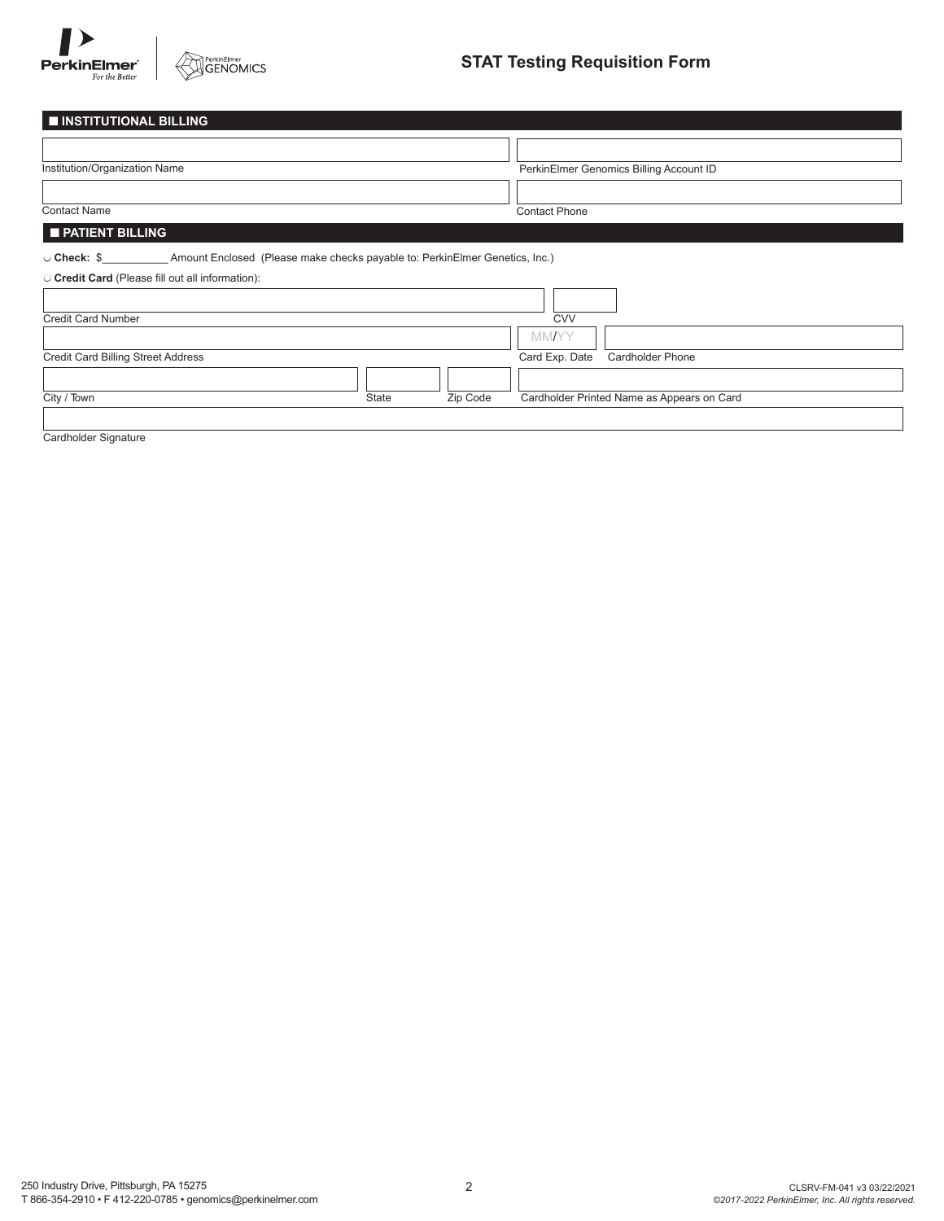

PerkinElmer<br>GENOMICS

# **STAT Testing Requisition Form**

| <b>INSTITUTIONAL BILLING</b>                                                            |              |          |                      |                                            |
|-----------------------------------------------------------------------------------------|--------------|----------|----------------------|--------------------------------------------|
|                                                                                         |              |          |                      |                                            |
| Institution/Organization Name                                                           |              |          |                      | PerkinElmer Genomics Billing Account ID    |
|                                                                                         |              |          |                      |                                            |
| <b>Contact Name</b>                                                                     |              |          | <b>Contact Phone</b> |                                            |
| <b>PATIENT BILLING</b>                                                                  |              |          |                      |                                            |
| O Check: \$ Amount Enclosed (Please make checks payable to: PerkinElmer Genetics, Inc.) |              |          |                      |                                            |
| O Credit Card (Please fill out all information):                                        |              |          |                      |                                            |
|                                                                                         |              |          |                      |                                            |
| <b>Credit Card Number</b>                                                               |              |          | <b>CVV</b>           |                                            |
|                                                                                         |              |          | <b>MM/YY</b>         |                                            |
| <b>Credit Card Billing Street Address</b>                                               |              |          | Card Exp. Date       | <b>Cardholder Phone</b>                    |
|                                                                                         |              |          |                      |                                            |
| City / Town                                                                             | <b>State</b> | Zip Code |                      | Cardholder Printed Name as Appears on Card |

Cardholder Signature